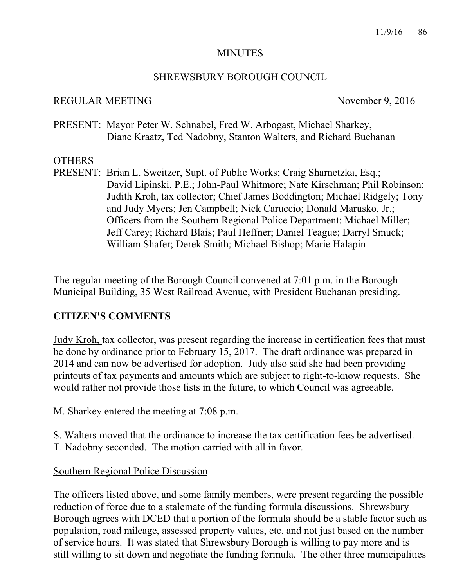#### MINUTES

#### SHREWSBURY BOROUGH COUNCIL

#### REGULAR MEETING November 9, 2016

PRESENT: Mayor Peter W. Schnabel, Fred W. Arbogast, Michael Sharkey, Diane Kraatz, Ted Nadobny, Stanton Walters, and Richard Buchanan

## **OTHERS**

PRESENT: Brian L. Sweitzer, Supt. of Public Works; Craig Sharnetzka, Esq.; David Lipinski, P.E.; John-Paul Whitmore; Nate Kirschman; Phil Robinson; Judith Kroh, tax collector; Chief James Boddington; Michael Ridgely; Tony and Judy Myers; Jen Campbell; Nick Caruccio; Donald Marusko, Jr.; Officers from the Southern Regional Police Department: Michael Miller; Jeff Carey; Richard Blais; Paul Heffner; Daniel Teague; Darryl Smuck; William Shafer; Derek Smith; Michael Bishop; Marie Halapin

The regular meeting of the Borough Council convened at 7:01 p.m. in the Borough Municipal Building, 35 West Railroad Avenue, with President Buchanan presiding.

## **CITIZEN'S COMMENTS**

Judy Kroh, tax collector, was present regarding the increase in certification fees that must be done by ordinance prior to February 15, 2017. The draft ordinance was prepared in 2014 and can now be advertised for adoption. Judy also said she had been providing printouts of tax payments and amounts which are subject to right-to-know requests. She would rather not provide those lists in the future, to which Council was agreeable.

M. Sharkey entered the meeting at 7:08 p.m.

S. Walters moved that the ordinance to increase the tax certification fees be advertised. T. Nadobny seconded. The motion carried with all in favor.

## Southern Regional Police Discussion

The officers listed above, and some family members, were present regarding the possible reduction of force due to a stalemate of the funding formula discussions. Shrewsbury Borough agrees with DCED that a portion of the formula should be a stable factor such as population, road mileage, assessed property values, etc. and not just based on the number of service hours. It was stated that Shrewsbury Borough is willing to pay more and is still willing to sit down and negotiate the funding formula. The other three municipalities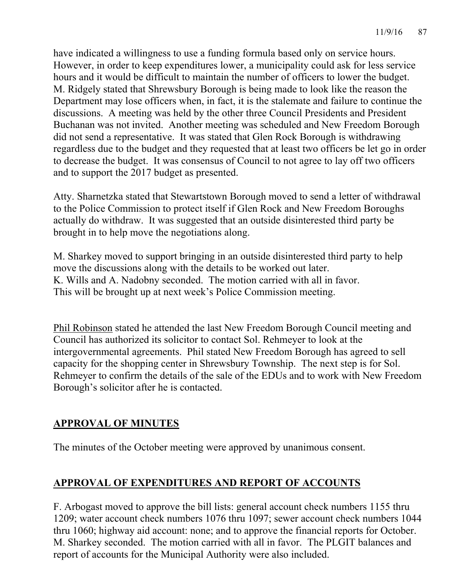have indicated a willingness to use a funding formula based only on service hours. However, in order to keep expenditures lower, a municipality could ask for less service hours and it would be difficult to maintain the number of officers to lower the budget. M. Ridgely stated that Shrewsbury Borough is being made to look like the reason the Department may lose officers when, in fact, it is the stalemate and failure to continue the discussions. A meeting was held by the other three Council Presidents and President Buchanan was not invited. Another meeting was scheduled and New Freedom Borough did not send a representative. It was stated that Glen Rock Borough is withdrawing regardless due to the budget and they requested that at least two officers be let go in order to decrease the budget. It was consensus of Council to not agree to lay off two officers and to support the 2017 budget as presented.

Atty. Sharnetzka stated that Stewartstown Borough moved to send a letter of withdrawal to the Police Commission to protect itself if Glen Rock and New Freedom Boroughs actually do withdraw. It was suggested that an outside disinterested third party be brought in to help move the negotiations along.

M. Sharkey moved to support bringing in an outside disinterested third party to help move the discussions along with the details to be worked out later. K. Wills and A. Nadobny seconded. The motion carried with all in favor. This will be brought up at next week's Police Commission meeting.

Phil Robinson stated he attended the last New Freedom Borough Council meeting and Council has authorized its solicitor to contact Sol. Rehmeyer to look at the intergovernmental agreements. Phil stated New Freedom Borough has agreed to sell capacity for the shopping center in Shrewsbury Township. The next step is for Sol. Rehmeyer to confirm the details of the sale of the EDUs and to work with New Freedom Borough's solicitor after he is contacted.

# **APPROVAL OF MINUTES**

The minutes of the October meeting were approved by unanimous consent.

# **APPROVAL OF EXPENDITURES AND REPORT OF ACCOUNTS**

F. Arbogast moved to approve the bill lists: general account check numbers 1155 thru 1209; water account check numbers 1076 thru 1097; sewer account check numbers 1044 thru 1060; highway aid account: none; and to approve the financial reports for October. M. Sharkey seconded. The motion carried with all in favor. The PLGIT balances and report of accounts for the Municipal Authority were also included.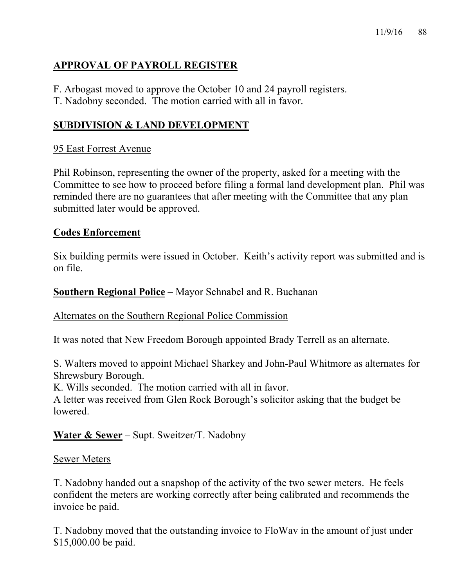# **APPROVAL OF PAYROLL REGISTER**

- F. Arbogast moved to approve the October 10 and 24 payroll registers.
- T. Nadobny seconded. The motion carried with all in favor.

# **SUBDIVISION & LAND DEVELOPMENT**

## 95 East Forrest Avenue

Phil Robinson, representing the owner of the property, asked for a meeting with the Committee to see how to proceed before filing a formal land development plan. Phil was reminded there are no guarantees that after meeting with the Committee that any plan submitted later would be approved.

## **Codes Enforcement**

Six building permits were issued in October. Keith's activity report was submitted and is on file.

## **Southern Regional Police** – Mayor Schnabel and R. Buchanan

## Alternates on the Southern Regional Police Commission

It was noted that New Freedom Borough appointed Brady Terrell as an alternate.

S. Walters moved to appoint Michael Sharkey and John-Paul Whitmore as alternates for Shrewsbury Borough.

K. Wills seconded. The motion carried with all in favor.

A letter was received from Glen Rock Borough's solicitor asking that the budget be lowered.

# **Water & Sewer** – Supt. Sweitzer/T. Nadobny

## Sewer Meters

T. Nadobny handed out a snapshop of the activity of the two sewer meters. He feels confident the meters are working correctly after being calibrated and recommends the invoice be paid.

T. Nadobny moved that the outstanding invoice to FloWav in the amount of just under \$15,000.00 be paid.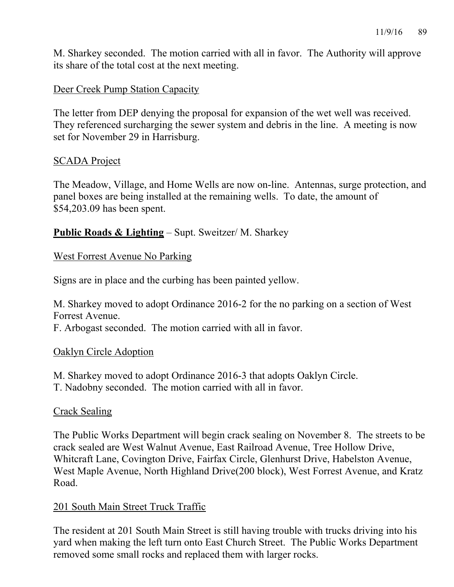M. Sharkey seconded. The motion carried with all in favor. The Authority will approve its share of the total cost at the next meeting.

## Deer Creek Pump Station Capacity

The letter from DEP denying the proposal for expansion of the wet well was received. They referenced surcharging the sewer system and debris in the line. A meeting is now set for November 29 in Harrisburg.

## SCADA Project

The Meadow, Village, and Home Wells are now on-line. Antennas, surge protection, and panel boxes are being installed at the remaining wells. To date, the amount of \$54,203.09 has been spent.

## **Public Roads & Lighting** – Supt. Sweitzer/ M. Sharkey

## West Forrest Avenue No Parking

Signs are in place and the curbing has been painted yellow.

M. Sharkey moved to adopt Ordinance 2016-2 for the no parking on a section of West Forrest Avenue.

F. Arbogast seconded. The motion carried with all in favor.

## Oaklyn Circle Adoption

M. Sharkey moved to adopt Ordinance 2016-3 that adopts Oaklyn Circle. T. Nadobny seconded. The motion carried with all in favor.

# Crack Sealing

The Public Works Department will begin crack sealing on November 8. The streets to be crack sealed are West Walnut Avenue, East Railroad Avenue, Tree Hollow Drive, Whitcraft Lane, Covington Drive, Fairfax Circle, Glenhurst Drive, Habelston Avenue, West Maple Avenue, North Highland Drive(200 block), West Forrest Avenue, and Kratz Road.

## 201 South Main Street Truck Traffic

The resident at 201 South Main Street is still having trouble with trucks driving into his yard when making the left turn onto East Church Street. The Public Works Department removed some small rocks and replaced them with larger rocks.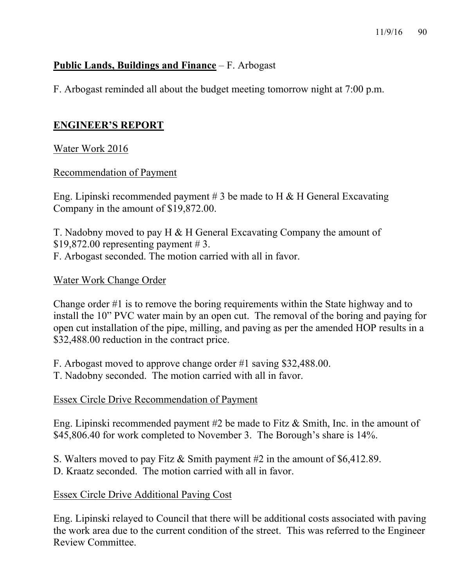## **Public Lands, Buildings and Finance** – F. Arbogast

F. Arbogast reminded all about the budget meeting tomorrow night at 7:00 p.m.

## **ENGINEER'S REPORT**

## Water Work 2016

#### Recommendation of Payment

Eng. Lipinski recommended payment  $# 3$  be made to H & H General Excavating Company in the amount of \$19,872.00.

T. Nadobny moved to pay H & H General Excavating Company the amount of \$19,872.00 representing payment  $\# 3$ . F. Arbogast seconded. The motion carried with all in favor.

## Water Work Change Order

Change order #1 is to remove the boring requirements within the State highway and to install the 10" PVC water main by an open cut. The removal of the boring and paying for open cut installation of the pipe, milling, and paving as per the amended HOP results in a \$32,488.00 reduction in the contract price.

F. Arbogast moved to approve change order #1 saving \$32,488.00.

T. Nadobny seconded. The motion carried with all in favor.

## Essex Circle Drive Recommendation of Payment

Eng. Lipinski recommended payment #2 be made to Fitz & Smith, Inc. in the amount of \$45,806.40 for work completed to November 3. The Borough's share is 14%.

S. Walters moved to pay Fitz & Smith payment #2 in the amount of \$6,412.89.

D. Kraatz seconded. The motion carried with all in favor.

## Essex Circle Drive Additional Paving Cost

Eng. Lipinski relayed to Council that there will be additional costs associated with paving the work area due to the current condition of the street. This was referred to the Engineer Review Committee.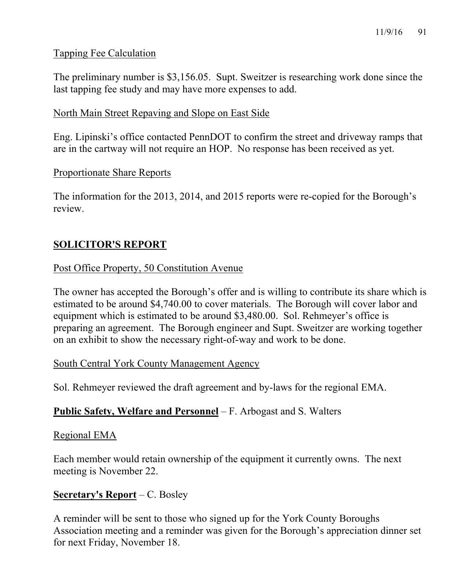## Tapping Fee Calculation

The preliminary number is \$3,156.05. Supt. Sweitzer is researching work done since the last tapping fee study and may have more expenses to add.

## North Main Street Repaving and Slope on East Side

Eng. Lipinski's office contacted PennDOT to confirm the street and driveway ramps that are in the cartway will not require an HOP. No response has been received as yet.

#### Proportionate Share Reports

The information for the 2013, 2014, and 2015 reports were re-copied for the Borough's review.

## **SOLICITOR'S REPORT**

## Post Office Property, 50 Constitution Avenue

The owner has accepted the Borough's offer and is willing to contribute its share which is estimated to be around \$4,740.00 to cover materials. The Borough will cover labor and equipment which is estimated to be around \$3,480.00. Sol. Rehmeyer's office is preparing an agreement. The Borough engineer and Supt. Sweitzer are working together on an exhibit to show the necessary right-of-way and work to be done.

## South Central York County Management Agency

Sol. Rehmeyer reviewed the draft agreement and by-laws for the regional EMA.

## **Public Safety, Welfare and Personnel** – F. Arbogast and S. Walters

#### Regional EMA

Each member would retain ownership of the equipment it currently owns. The next meeting is November 22.

## **Secretary's Report** – C. Bosley

A reminder will be sent to those who signed up for the York County Boroughs Association meeting and a reminder was given for the Borough's appreciation dinner set for next Friday, November 18.